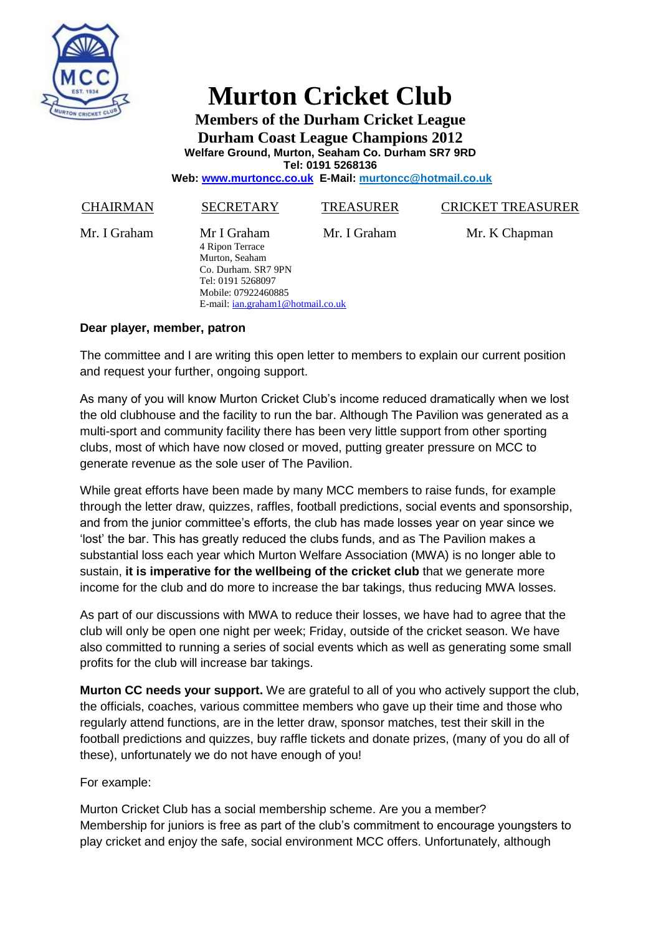

## **Murton Cricket Club**

**Members of the Durham Cricket League Durham Coast League Champions 2012 Welfare Ground, Murton, Seaham Co. Durham SR7 9RD Tel: 0191 5268136**

**Web: [www.murtoncc.co.uk](http://www.murtoncc.co.uk/) E-Mail: [murtoncc@hotmail.co.uk](mailto:murtoncc@hotmail.co.uk)**

| Mr I Graham<br>Mr. I Graham<br>Mr. K Chapman<br>Mr. I Graham<br>4 Ripon Terrace<br>Murton, Seaham<br>Co. Durham. SR7 9PN<br>Tel: 0191 5268097<br>Mobile: 07922460885<br>E-mail: ian.graham1@hotmail.co.uk | <b>CHAIRMAN</b> | <b>SECRETARY</b> | <b>TREASURER</b> | <b>CRICKET TREASURER</b> |
|-----------------------------------------------------------------------------------------------------------------------------------------------------------------------------------------------------------|-----------------|------------------|------------------|--------------------------|
|                                                                                                                                                                                                           |                 |                  |                  |                          |

## **Dear player, member, patron**

The committee and I are writing this open letter to members to explain our current position and request your further, ongoing support.

As many of you will know Murton Cricket Club's income reduced dramatically when we lost the old clubhouse and the facility to run the bar. Although The Pavilion was generated as a multi-sport and community facility there has been very little support from other sporting clubs, most of which have now closed or moved, putting greater pressure on MCC to generate revenue as the sole user of The Pavilion.

While great efforts have been made by many MCC members to raise funds, for example through the letter draw, quizzes, raffles, football predictions, social events and sponsorship, and from the junior committee's efforts, the club has made losses year on year since we 'lost' the bar. This has greatly reduced the clubs funds, and as The Pavilion makes a substantial loss each year which Murton Welfare Association (MWA) is no longer able to sustain, **it is imperative for the wellbeing of the cricket club** that we generate more income for the club and do more to increase the bar takings, thus reducing MWA losses.

As part of our discussions with MWA to reduce their losses, we have had to agree that the club will only be open one night per week; Friday, outside of the cricket season. We have also committed to running a series of social events which as well as generating some small profits for the club will increase bar takings.

**Murton CC needs your support.** We are grateful to all of you who actively support the club, the officials, coaches, various committee members who gave up their time and those who regularly attend functions, are in the letter draw, sponsor matches, test their skill in the football predictions and quizzes, buy raffle tickets and donate prizes, (many of you do all of these), unfortunately we do not have enough of you!

For example:

Murton Cricket Club has a social membership scheme. Are you a member? Membership for juniors is free as part of the club's commitment to encourage youngsters to play cricket and enjoy the safe, social environment MCC offers. Unfortunately, although